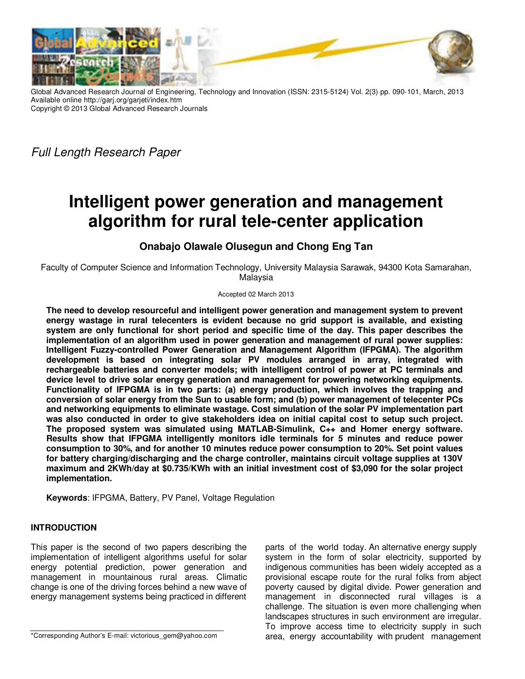

Global Advanced Research Journal of Engineering, Technology and Innovation (ISSN: 2315-5124) Vol. 2(3) pp. 090-101, March, 2013 Available online http://garj.org/garjeti/index.htm Copyright © 2013 Global Advanced Research Journals

Full Length Research Paper

# **Intelligent power generation and management algorithm for rural tele-center application**

# **Onabajo Olawale Olusegun and Chong Eng Tan**

Faculty of Computer Science and Information Technology, University Malaysia Sarawak, 94300 Kota Samarahan, Malaysia

#### Accepted 02 March 2013

**The need to develop resourceful and intelligent power generation and management system to prevent energy wastage in rural telecenters is evident because no grid support is available, and existing system are only functional for short period and specific time of the day. This paper describes the implementation of an algorithm used in power generation and management of rural power supplies: Intelligent Fuzzy-controlled Power Generation and Management Algorithm (IFPGMA). The algorithm development is based on integrating solar PV modules arranged in array, integrated with rechargeable batteries and converter models; with intelligent control of power at PC terminals and device level to drive solar energy generation and management for powering networking equipments. Functionality of IFPGMA is in two parts: (a) energy production, which involves the trapping and conversion of solar energy from the Sun to usable form; and (b) power management of telecenter PCs and networking equipments to eliminate wastage. Cost simulation of the solar PV implementation part was also conducted in order to give stakeholders idea on initial capital cost to setup such project. The proposed system was simulated using MATLAB-Simulink, C++ and Homer energy software. Results show that IFPGMA intelligently monitors idle terminals for 5 minutes and reduce power consumption to 30%, and for another 10 minutes reduce power consumption to 20%. Set point values for battery charging/discharging and the charge controller, maintains circuit voltage supplies at 130V maximum and 2KWh/day at \$0.735/KWh with an initial investment cost of \$3,090 for the solar project implementation.** 

**Keywords**: IFPGMA, Battery, PV Panel, Voltage Regulation

# **INTRODUCTION**

This paper is the second of two papers describing the implementation of intelligent algorithms useful for solar energy potential prediction, power generation and management in mountainous rural areas. Climatic change is one of the driving forces behind a new wave of energy management systems being practiced in different

\*Corresponding Author's E-mail: victorious\_gem@yahoo.com

parts of the world today. An alternative energy supply system in the form of solar electricity, supported by indigenous communities has been widely accepted as a provisional escape route for the rural folks from abject poverty caused by digital divide. Power generation and management in disconnected rural villages is a challenge. The situation is even more challenging when landscapes structures in such environment are irregular. To improve access time to electricity supply in such area, energy accountability with prudent management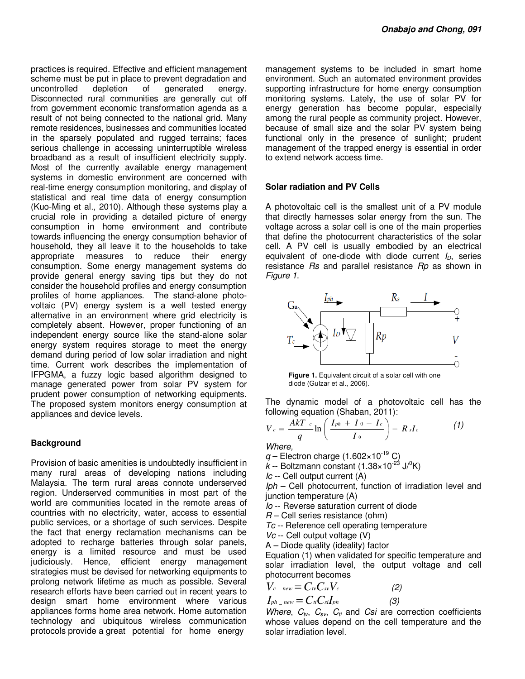practices is required. Effective and efficient management scheme must be put in place to prevent degradation and uncontrolled depletion of generated energy. Disconnected rural communities are generally cut off from government economic transformation agenda as a result of not being connected to the national grid. Many remote residences, businesses and communities located in the sparsely populated and rugged terrains; faces serious challenge in accessing uninterruptible wireless broadband as a result of insufficient electricity supply. Most of the currently available energy management systems in domestic environment are concerned with real-time energy consumption monitoring, and display of statistical and real time data of energy consumption (Kuo-Ming et al., 2010). Although these systems play a crucial role in providing a detailed picture of energy consumption in home environment and contribute towards influencing the energy consumption behavior of household, they all leave it to the households to take appropriate measures to reduce their energy consumption. Some energy management systems do provide general energy saving tips but they do not consider the household profiles and energy consumption profiles of home appliances. The stand-alone photovoltaic (PV) energy system is a well tested energy alternative in an environment where grid electricity is completely absent. However, proper functioning of an independent energy source like the stand-alone solar energy system requires storage to meet the energy demand during period of low solar irradiation and night time. Current work describes the implementation of IFPGMA, a fuzzy logic based algorithm designed to manage generated power from solar PV system for prudent power consumption of networking equipments. The proposed system monitors energy consumption at appliances and device levels.

### **Background**

Provision of basic amenities is undoubtedly insufficient in many rural areas of developing nations including Malaysia. The term rural areas connote underserved region. Underserved communities in most part of the world are communities located in the remote areas of countries with no electricity, water, access to essential public services, or a shortage of such services. Despite the fact that energy reclamation mechanisms can be adopted to recharge batteries through solar panels, energy is a limited resource and must be used judiciously. Hence, efficient energy management strategies must be devised for networking equipments to prolong network lifetime as much as possible. Several research efforts have been carried out in recent years to design smart home environment where various appliances forms home area network. Home automation technology and ubiquitous wireless communication protocols provide a great potential for home energy

management systems to be included in smart home environment. Such an automated environment provides supporting infrastructure for home energy consumption monitoring systems. Lately, the use of solar PV for energy generation has become popular, especially among the rural people as community project. However, because of small size and the solar PV system being functional only in the presence of sunlight; prudent management of the trapped energy is essential in order to extend network access time.

### **Solar radiation and PV Cells**

A photovoltaic cell is the smallest unit of a PV module that directly harnesses solar energy from the sun. The voltage across a solar cell is one of the main properties that define the photocurrent characteristics of the solar cell. A PV cell is usually embodied by an electrical equivalent of one-diode with diode current  $I_D$ , series resistance Rs and parallel resistance Rp as shown in Figure 1.



**Figure 1.** Equivalent circuit of a solar cell with one diode (Gulzar et al., 2006).

The dynamic model of a photovoltaic cell has the following equation (Shaban, 2011):

$$
V_c = \frac{AkT_c}{q} \ln \left( \frac{I_{ph} + I_0 - I_c}{I_0} \right) - R_s I_c \tag{1}
$$

Where,

 $q$  – Electron charge (1.602×10<sup>-19</sup> C)

 $k$  -- Boltzmann constant (1.38×10<sup>-23</sup> J/<sup>0</sup>K)

Ic -- Cell output current (A)

Iph – Cell photocurrent, function of irradiation level and junction temperature (A)

Io -- Reverse saturation current of diode

 $R$  – Cell series resistance (ohm)

- Tc -- Reference cell operating temperature
- Vc -- Cell output voltage (V)

A – Diode quality (ideality) factor

Equation (1) when validated for specific temperature and solar irradiation level, the output voltage and cell photocurrent becomes

$$
V_{c\_new} = C_{tv} C_{sv} V_c
$$
  
\n
$$
I_{ph\_new} = C_{ti} C_{si} I_{ph}
$$
 (2)

Where,  $C_{tv}$ ,  $C_{sv}$ ,  $C_{ti}$  and Csi are correction coefficients whose values depend on the cell temperature and the solar irradiation level.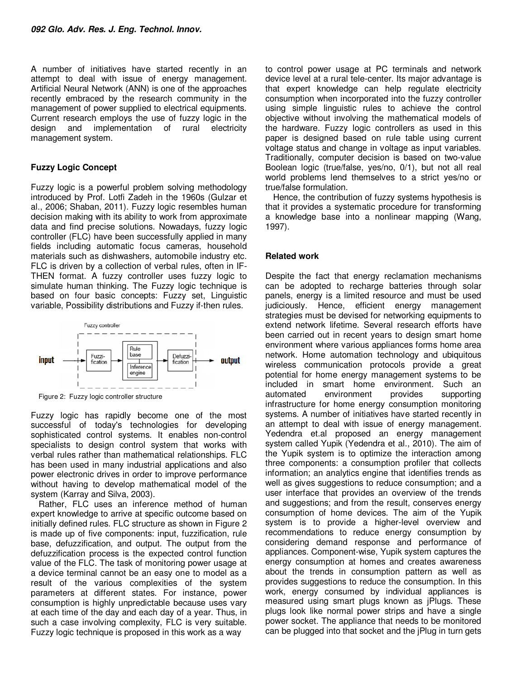A number of initiatives have started recently in an attempt to deal with issue of energy management. Artificial Neural Network (ANN) is one of the approaches recently embraced by the research community in the management of power supplied to electrical equipments. Current research employs the use of fuzzy logic in the design and implementation of rural electricity management system.

## **Fuzzy Logic Concept**

Fuzzy logic is a powerful problem solving methodology introduced by Prof. Lotfi Zadeh in the 1960s (Gulzar et al., 2006; Shaban, 2011). Fuzzy logic resembles human decision making with its ability to work from approximate data and find precise solutions. Nowadays, fuzzy logic controller (FLC) have been successfully applied in many fields including automatic focus cameras, household materials such as dishwashers, automobile industry etc. FLC is driven by a collection of verbal rules, often in IF-THEN format. A fuzzy controller uses fuzzy logic to simulate human thinking. The Fuzzy logic technique is based on four basic concepts: Fuzzy set, Linguistic variable, Possibility distributions and Fuzzy if-then rules.



Figure 2: Fuzzy logic controller structure

Fuzzy logic has rapidly become one of the most successful of today's technologies for developing sophisticated control systems. It enables non-control specialists to design control system that works with verbal rules rather than mathematical relationships. FLC has been used in many industrial applications and also power electronic drives in order to improve performance without having to develop mathematical model of the system (Karray and Silva, 2003).

Rather, FLC uses an inference method of human expert knowledge to arrive at specific outcome based on initially defined rules. FLC structure as shown in Figure 2 is made up of five components: input, fuzzification, rule base, defuzzification, and output. The output from the defuzzification process is the expected control function value of the FLC. The task of monitoring power usage at a device terminal cannot be an easy one to model as a result of the various complexities of the system parameters at different states. For instance, power consumption is highly unpredictable because uses vary at each time of the day and each day of a year. Thus, in such a case involving complexity, FLC is very suitable. Fuzzy logic technique is proposed in this work as a way

to control power usage at PC terminals and network device level at a rural tele-center. Its major advantage is that expert knowledge can help regulate electricity consumption when incorporated into the fuzzy controller using simple linguistic rules to achieve the control objective without involving the mathematical models of the hardware. Fuzzy logic controllers as used in this paper is designed based on rule table using current voltage status and change in voltage as input variables. Traditionally, computer decision is based on two-value Boolean logic (true/false, yes/no, 0/1), but not all real world problems lend themselves to a strict yes/no or true/false formulation.

Hence, the contribution of fuzzy systems hypothesis is that it provides a systematic procedure for transforming a knowledge base into a nonlinear mapping (Wang, 1997).

### **Related work**

Despite the fact that energy reclamation mechanisms can be adopted to recharge batteries through solar panels, energy is a limited resource and must be used judiciously. Hence, efficient energy management strategies must be devised for networking equipments to extend network lifetime. Several research efforts have been carried out in recent years to design smart home environment where various appliances forms home area network. Home automation technology and ubiquitous wireless communication protocols provide a great potential for home energy management systems to be included in smart home environment. Such an automated environment provides supporting infrastructure for home energy consumption monitoring systems. A number of initiatives have started recently in an attempt to deal with issue of energy management. Yedendra et.al proposed an energy management system called Yupik (Yedendra et al., 2010). The aim of the Yupik system is to optimize the interaction among three components: a consumption profiler that collects information; an analytics engine that identifies trends as well as gives suggestions to reduce consumption; and a user interface that provides an overview of the trends and suggestions; and from the result, conserves energy consumption of home devices. The aim of the Yupik system is to provide a higher-level overview and recommendations to reduce energy consumption by considering demand response and performance of appliances. Component-wise, Yupik system captures the energy consumption at homes and creates awareness about the trends in consumption pattern as well as provides suggestions to reduce the consumption. In this work, energy consumed by individual appliances is measured using smart plugs known as jPlugs. These plugs look like normal power strips and have a single power socket. The appliance that needs to be monitored can be plugged into that socket and the jPlug in turn gets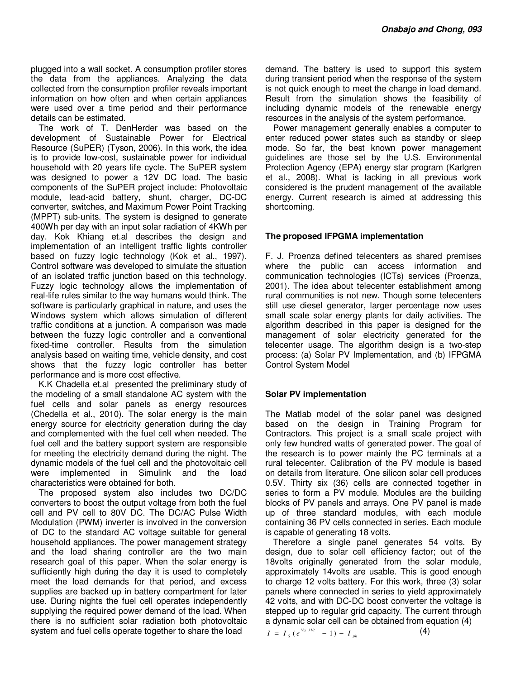plugged into a wall socket. A consumption profiler stores the data from the appliances. Analyzing the data collected from the consumption profiler reveals important information on how often and when certain appliances were used over a time period and their performance details can be estimated.

The work of T. DenHerder was based on the development of Sustainable Power for Electrical Resource (SuPER) (Tyson, 2006). In this work, the idea is to provide low-cost, sustainable power for individual household with 20 years life cycle. The SuPER system was designed to power a 12V DC load. The basic components of the SuPER project include: Photovoltaic module, lead-acid battery, shunt, charger, DC-DC converter, switches, and Maximum Power Point Tracking (MPPT) sub-units. The system is designed to generate 400Wh per day with an input solar radiation of 4KWh per day. Kok Khiang et.al describes the design and implementation of an intelligent traffic lights controller based on fuzzy logic technology (Kok et al., 1997). Control software was developed to simulate the situation of an isolated traffic junction based on this technology. Fuzzy logic technology allows the implementation of real-life rules similar to the way humans would think. The software is particularly graphical in nature, and uses the Windows system which allows simulation of different traffic conditions at a junction. A comparison was made between the fuzzy logic controller and a conventional fixed-time controller. Results from the simulation analysis based on waiting time, vehicle density, and cost shows that the fuzzy logic controller has better performance and is more cost effective.

K.K Chadella et.al presented the preliminary study of the modeling of a small standalone AC system with the fuel cells and solar panels as energy resources (Chedella et al., 2010). The solar energy is the main energy source for electricity generation during the day and complemented with the fuel cell when needed. The fuel cell and the battery support system are responsible for meeting the electricity demand during the night. The dynamic models of the fuel cell and the photovoltaic cell were implemented in Simulink and the load characteristics were obtained for both.

The proposed system also includes two DC/DC converters to boost the output voltage from both the fuel cell and PV cell to 80V DC. The DC/AC Pulse Width Modulation (PWM) inverter is involved in the conversion of DC to the standard AC voltage suitable for general household appliances. The power management strategy and the load sharing controller are the two main research goal of this paper. When the solar energy is sufficiently high during the day it is used to completely meet the load demands for that period, and excess supplies are backed up in battery compartment for later use. During nights the fuel cell operates independently supplying the required power demand of the load. When there is no sufficient solar radiation both photovoltaic system and fuel cells operate together to share the load

demand. The battery is used to support this system during transient period when the response of the system is not quick enough to meet the change in load demand. Result from the simulation shows the feasibility of including dynamic models of the renewable energy resources in the analysis of the system performance.

Power management generally enables a computer to enter reduced power states such as standby or sleep mode. So far, the best known power management guidelines are those set by the U.S. Environmental Protection Agency (EPA) energy star program (Karlgren et al., 2008). What is lacking in all previous work considered is the prudent management of the available energy. Current research is aimed at addressing this shortcoming.

### **The proposed IFPGMA implementation**

F. J. Proenza defined telecenters as shared premises where the public can access information and communication technologies (ICTs) services (Proenza, 2001). The idea about telecenter establishment among rural communities is not new. Though some telecenters still use diesel generator, larger percentage now uses small scale solar energy plants for daily activities. The algorithm described in this paper is designed for the management of solar electricity generated for the telecenter usage. The algorithm design is a two-step process: (a) Solar PV Implementation, and (b) IFPGMA Control System Model

### **Solar PV implementation**

The Matlab model of the solar panel was designed based on the design in Training Program for Contractors. This project is a small scale project with only few hundred watts of generated power. The goal of the research is to power mainly the PC terminals at a rural telecenter. Calibration of the PV module is based on details from literature. One silicon solar cell produces 0.5V. Thirty six (36) cells are connected together in series to form a PV module. Modules are the building blocks of PV panels and arrays. One PV panel is made up of three standard modules, with each module containing 36 PV cells connected in series. Each module is capable of generating 18 volts.

Therefore a single panel generates 54 volts. By design, due to solar cell efficiency factor; out of the 18volts originally generated from the solar module, approximately 14volts are usable. This is good enough to charge 12 volts battery. For this work, three (3) solar panels where connected in series to yield approximately 42 volts, and with DC-DC boost converter the voltage is stepped up to regular grid capacity. The current through a dynamic solar cell can be obtained from equation (4)

 $I = I_{S} (e^{V_{a}/V_{t}} - 1) - I_{ph}$ 

(4)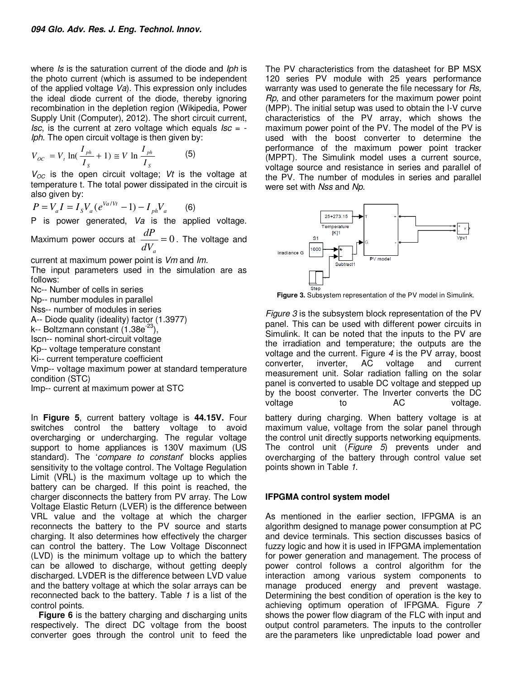where Is is the saturation current of the diode and Iph is the photo current (which is assumed to be independent of the applied voltage  $Va$ ). This expression only includes the ideal diode current of the diode, thereby ignoring recombination in the depletion region (Wikipedia, Power Supply Unit (Computer), 2012). The short circuit current, Isc, is the current at zero voltage which equals  $Isc = -$ Iph. The open circuit voltage is then given by:

$$
V_{OC} = V_t \ln(\frac{I_{ph}}{I_s} + 1) \cong V \ln \frac{I_{ph}}{I_s}
$$
 (5)

 $V_{OC}$  is the open circuit voltage; Vt is the voltage at temperature t. The total power dissipated in the circuit is also given by:

$$
P = V_a I = I_s V_a (e^{Va/Vt} - 1) - I_{ph} V_a
$$
 (6)

P is power generated, Va is the applied voltage.

Maximum power occurs at  $\frac{du}{dx} = 0$ *a dV*  $\frac{dP}{dx} = 0$ . The voltage and

current at maximum power point is Vm and Im.

The input parameters used in the simulation are as follows:

Nc-- Number of cells in series

Np-- number modules in parallel

Nss-- number of modules in series

A-- Diode quality (ideality) factor (1.3977)

k-- Boltzmann constant  $(1.38e^{-23})$ ,

Iscn-- nominal short-circuit voltage

Kp-- voltage temperature constant

Ki-- current temperature coefficient

Vmp-- voltage maximum power at standard temperature condition (STC)

Imp-- current at maximum power at STC

In **Figure 5**, current battery voltage is **44.15V.** Four switches control the battery voltage to avoid overcharging or undercharging. The regular voltage support to home appliances is 130V maximum (US standard). The 'compare to constant' blocks applies sensitivity to the voltage control. The Voltage Regulation Limit (VRL) is the maximum voltage up to which the battery can be charged. If this point is reached, the charger disconnects the battery from PV array. The Low Voltage Elastic Return (LVER) is the difference between VRL value and the voltage at which the charger reconnects the battery to the PV source and starts charging. It also determines how effectively the charger can control the battery. The Low Voltage Disconnect (LVD) is the minimum voltage up to which the battery can be allowed to discharge, without getting deeply discharged. LVDER is the difference between LVD value and the battery voltage at which the solar arrays can be reconnected back to the battery. Table 1 is a list of the control points.

**Figure 6** is the battery charging and discharging units respectively. The direct DC voltage from the boost converter goes through the control unit to feed the

The PV characteristics from the datasheet for BP MSX 120 series PV module with 25 years performance warranty was used to generate the file necessary for Rs, Rp, and other parameters for the maximum power point (MPP). The initial setup was used to obtain the I-V curve characteristics of the PV array, which shows the maximum power point of the PV. The model of the PV is used with the boost converter to determine the performance of the maximum power point tracker (MPPT). The Simulink model uses a current source, voltage source and resistance in series and parallel of the PV. The number of modules in series and parallel were set with Nss and Np.



**Figure 3.** Subsystem representation of the PV model in Simulink.

Figure 3 is the subsystem block representation of the PV panel. This can be used with different power circuits in Simulink. It can be noted that the inputs to the PV are the irradiation and temperature; the outputs are the voltage and the current. Figure  $4$  is the PV array, boost converter, inverter, AC voltage and current measurement unit. Solar radiation falling on the solar panel is converted to usable DC voltage and stepped up by the boost converter. The Inverter converts the DC voltage to AC voltage.

battery during charging. When battery voltage is at maximum value, voltage from the solar panel through the control unit directly supports networking equipments. The control unit (Figure 5) prevents under and overcharging of the battery through control value set points shown in Table 1.

### **IFPGMA control system model**

As mentioned in the earlier section, IFPGMA is an algorithm designed to manage power consumption at PC and device terminals. This section discusses basics of fuzzy logic and how it is used in IFPGMA implementation for power generation and management. The process of power control follows a control algorithm for the interaction among various system components to manage produced energy and prevent wastage. Determining the best condition of operation is the key to achieving optimum operation of IFPGMA. Figure 7 shows the power flow diagram of the FLC with input and output control parameters. The inputs to the controller are the parameters like unpredictable load power and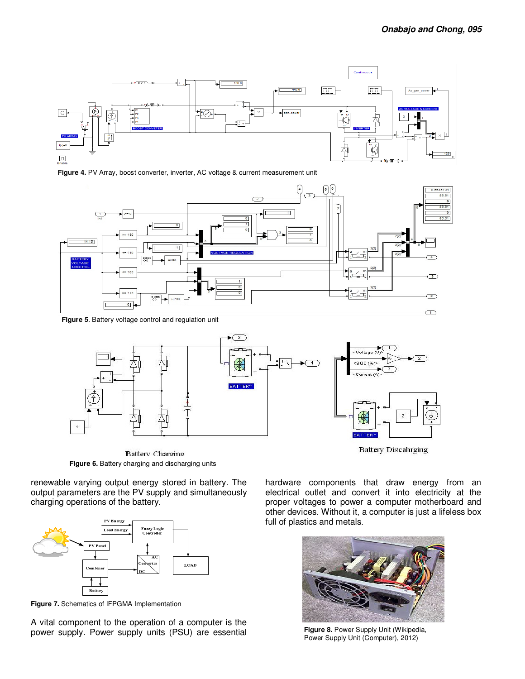

**Figure 4.** PV Array, boost converter, inverter, AC voltage & current measurement unit



**Figure 5**. Battery voltage control and regulation unit



**Battery Discaliging** 

hardware components that draw energy from an electrical outlet and convert it into electricity at the proper voltages to power a computer motherboard and other devices. Without it, a computer is just a lifeless box full of plastics and metals.

**Figure 8.** Power Supply Unit (Wikipedia, Power Supply Unit (Computer), 2012)

**Battery Charging Figure 6.** Battery charging and discharging units

renewable varying output energy stored in battery. The output parameters are the PV supply and simultaneously charging operations of the battery.



**Figure 7.** Schematics of IFPGMA Implementation

A vital component to the operation of a computer is the power supply. Power supply units (PSU) are essential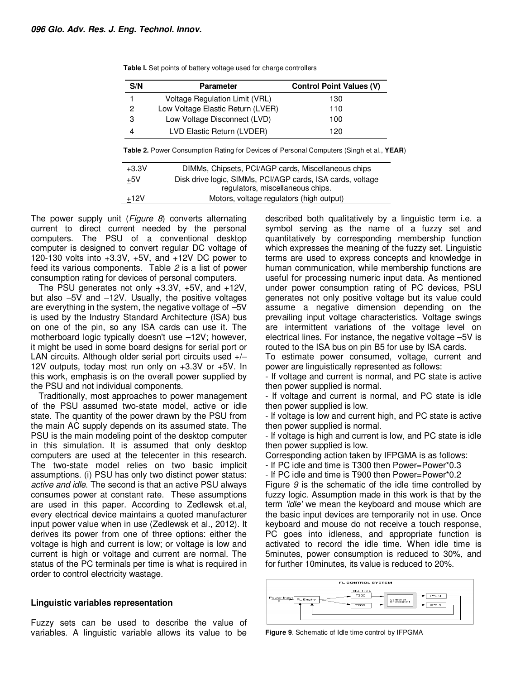| S/N | <b>Parameter</b>                  | <b>Control Point Values (V)</b> |
|-----|-----------------------------------|---------------------------------|
|     | Voltage Regulation Limit (VRL)    | 130                             |
| 2   | Low Voltage Elastic Return (LVER) | 110                             |
| 3   | Low Voltage Disconnect (LVD)      | 100                             |
|     | LVD Elastic Return (LVDER)        | 120                             |

**Table I.** Set points of battery voltage used for charge controllers

**Table 2.** Power Consumption Rating for Devices of Personal Computers (Singh et al., **YEAR**)

| $+3.3V$ | DIMMs, Chipsets, PCI/AGP cards, Miscellaneous chips        |
|---------|------------------------------------------------------------|
| $+5V$   | Disk drive logic, SIMMs, PCI/AGP cards, ISA cards, voltage |
|         | regulators, miscellaneous chips.                           |
| $+12V$  | Motors, voltage regulators (high output)                   |

The power supply unit (*Figure 8*) converts alternating current to direct current needed by the personal computers. The PSU of a conventional desktop computer is designed to convert regular DC voltage of 120-130 volts into +3.3V, +5V, and +12V DC power to feed its various components. Table 2 is a list of power consumption rating for devices of personal computers.

The PSU generates not only +3.3V, +5V, and +12V, but also –5V and –12V. Usually, the positive voltages are everything in the system, the negative voltage of –5V is used by the Industry Standard Architecture (ISA) bus on one of the pin, so any ISA cards can use it. The motherboard logic typically doesn't use –12V; however, it might be used in some board designs for serial port or LAN circuits. Although older serial port circuits used  $+/-$ 12V outputs, today most run only on +3.3V or +5V. In this work, emphasis is on the overall power supplied by the PSU and not individual components.

Traditionally, most approaches to power management of the PSU assumed two-state model, active or idle state. The quantity of the power drawn by the PSU from the main AC supply depends on its assumed state. The PSU is the main modeling point of the desktop computer in this simulation. It is assumed that only desktop computers are used at the telecenter in this research. The two-state model relies on two basic implicit assumptions. (i) PSU has only two distinct power status: active and idle. The second is that an active PSU always consumes power at constant rate. These assumptions are used in this paper. According to Zedlewsk et.al, every electrical device maintains a quoted manufacturer input power value when in use (Zedlewsk et al., 2012). It derives its power from one of three options: either the voltage is high and current is low; or voltage is low and current is high or voltage and current are normal. The status of the PC terminals per time is what is required in order to control electricity wastage.

### **Linguistic variables representation**

Fuzzy sets can be used to describe the value of variables. A linguistic variable allows its value to be described both qualitatively by a linguistic term i.e. a symbol serving as the name of a fuzzy set and quantitatively by corresponding membership function which expresses the meaning of the fuzzy set. Linguistic terms are used to express concepts and knowledge in human communication, while membership functions are useful for processing numeric input data. As mentioned under power consumption rating of PC devices, PSU generates not only positive voltage but its value could assume a negative dimension depending on the prevailing input voltage characteristics. Voltage swings are intermittent variations of the voltage level on electrical lines. For instance, the negative voltage –5V is routed to the ISA bus on pin B5 for use by ISA cards.

To estimate power consumed, voltage, current and power are linguistically represented as follows:

- If voltage and current is normal, and PC state is active then power supplied is normal.

- If voltage and current is normal, and PC state is idle then power supplied is low.

- If voltage is low and current high, and PC state is active then power supplied is normal.

- If voltage is high and current is low, and PC state is idle then power supplied is low.

Corresponding action taken by IFPGMA is as follows:

- If PC idle and time is T300 then Power=Power\*0.3

- If PC idle and time is T900 then Power=Power\*0.2

Figure 9 is the schematic of the idle time controlled by fuzzy logic. Assumption made in this work is that by the term 'idle' we mean the keyboard and mouse which are the basic input devices are temporarily not in use. Once keyboard and mouse do not receive a touch response, PC goes into idleness, and appropriate function is activated to record the idle time. When idle time is 5minutes, power consumption is reduced to 30%, and for further 10minutes, its value is reduced to 20%.



**Figure 9**. Schematic of Idle time control by IFPGMA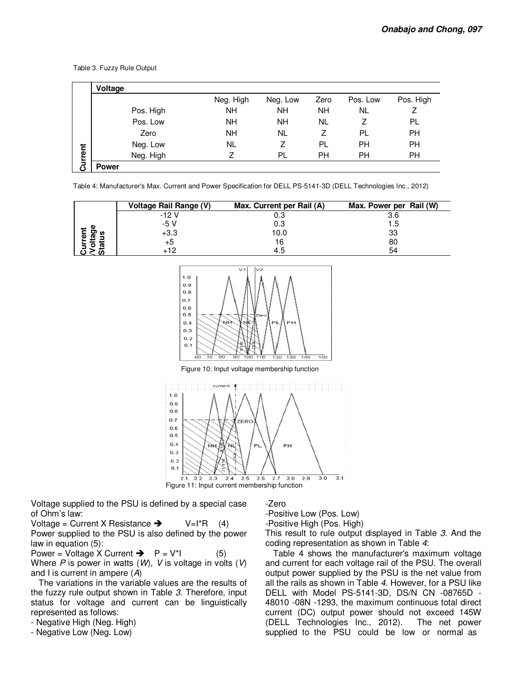|         | Voltage      |           |           |           |           |           |
|---------|--------------|-----------|-----------|-----------|-----------|-----------|
|         |              | Neg. High | Neg. Low  | Zero      | Pos. Low  | Pos. High |
|         | Pos. High    | <b>NH</b> | <b>NH</b> | <b>NH</b> | <b>NL</b> | 7         |
|         | Pos. Low     | <b>NH</b> | <b>NH</b> | NL        |           | PL        |
|         | Zero         | <b>NH</b> | NL        | Ζ         | PL        | PH        |
|         | Neg. Low     | NL        | 7         | PL        | PН        | PH        |
| Current | Neg. High    |           | PL        | <b>PH</b> | PН        | <b>PH</b> |
|         | <b>Power</b> |           |           |           |           |           |

Table 3. Fuzzy Rule Output

Table 4: Manufacturer's Max. Current and Power Specification for DELL PS-5141-3D (DELL Technologies Inc., 2012)

|      | Voltage Rail Range (V) | Max. Current per Rail (A) | Max. Power per Rail (W) |
|------|------------------------|---------------------------|-------------------------|
|      | $-12V$                 | 0.3                       | 3.6                     |
|      | -5 V                   | 0.3                       | l .5                    |
| מי פ | $+3.3$                 | 10.0                      | 33                      |
| 42   |                        | 16                        | 80                      |
|      |                        | 4.5                       | 54                      |



Figure 10: Input voltage membership function



Voltage supplied to the PSU is defined by a special case of Ohm's law:

Voltage = Current X Resistance  $\rightarrow$  V=I\*R (4) Power supplied to the PSU is also defined by the power law in equation (5):

Power = Voltage X Current  $\rightarrow$   $P = V^*$  (5) Where  $P$  is power in watts (W), V is voltage in volts (V) and I is current in ampere  $(A)$ 

The variations in the variable values are the results of the fuzzy rule output shown in Table 3. Therefore, input status for voltage and current can be linguistically represented as follows:

- Negative High (Neg. High)

- Negative Low (Neg. Low)

#### -Zero

-Positive Low (Pos. Low) -Positive High (Pos. High)

This result to rule output displayed in Table 3. And the coding representation as shown in Table 4:

Table 4 shows the manufacturer's maximum voltage and current for each voltage rail of the PSU. The overall output power supplied by the PSU is the net value from all the rails as shown in Table 4. However, for a PSU like DELL with Model PS-5141-3D, DS/N CN -08765D - 48010 -08N -1293, the maximum continuous total direct current (DC) output power should not exceed 145W (DELL Technologies Inc., 2012). The net power supplied to the PSU could be low or normal as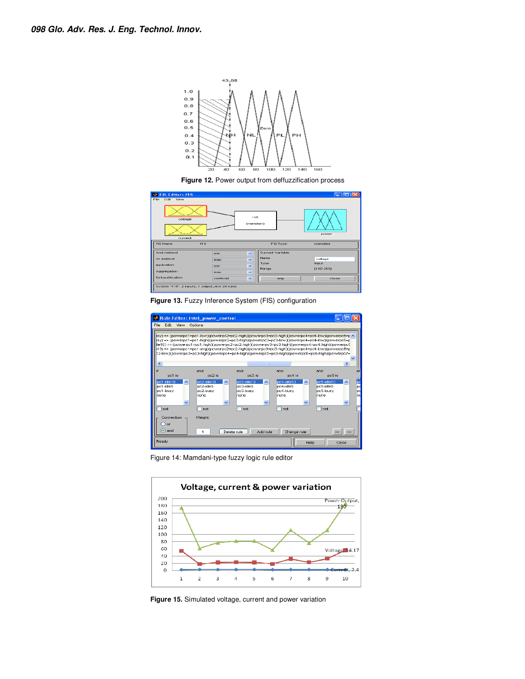

**Figure 12.** Power output from deffuzzification process



**Figure 13.** Fuzzy Inference System (FIS) configuration



Figure 14: Mamdani-type fuzzy logic rule editor



**Figure 15.** Simulated voltage, current and power variation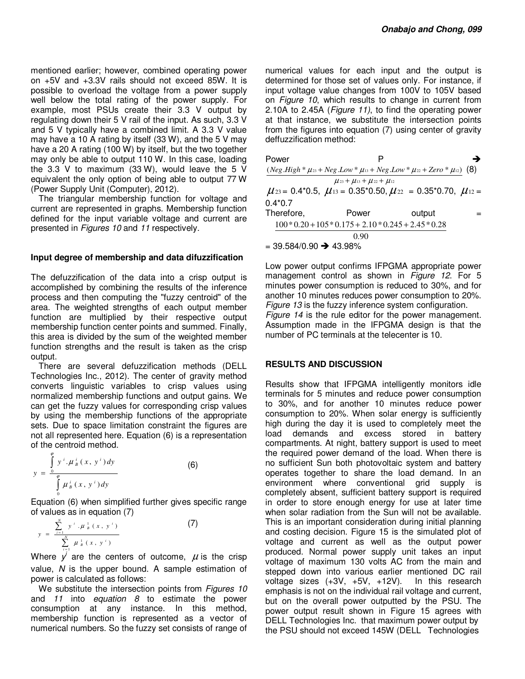mentioned earlier; however, combined operating power on +5V and +3.3V rails should not exceed 85W. It is possible to overload the voltage from a power supply well below the total rating of the power supply. For example, most PSUs create their 3.3 V output by regulating down their 5 V rail of the input. As such, 3.3 V and 5 V typically have a combined limit. A 3.3 V value may have a 10 A rating by itself (33 W), and the 5 V may have a 20 A rating (100 W) by itself, but the two together may only be able to output 110 W. In this case, loading the 3.3 V to maximum (33 W), would leave the 5 V equivalent the only option of being able to output 77 W (Power Supply Unit (Computer), 2012).

The triangular membership function for voltage and current are represented in graphs. Membership function defined for the input variable voltage and current are presented in Figures 10 and 11 respectively.

### **Input degree of membership and data difuzzification**

The defuzzification of the data into a crisp output is accomplished by combining the results of the inference process and then computing the "fuzzy centroid" of the area. The weighted strengths of each output member function are multiplied by their respective output membership function center points and summed. Finally, this area is divided by the sum of the weighted member function strengths and the result is taken as the crisp output.

There are several defuzzification methods (DELL Technologies Inc., 2012). The center of gravity method converts linguistic variables to crisp values using normalized membership functions and output gains. We can get the fuzzy values for corresponding crisp values by using the membership functions of the appropriate sets. Due to space limitation constraint the figures are not all represented here. Equation (6) is a representation of the centroid method.

$$
y = \frac{\int_{0}^{e} y^{i} \cdot \mu_{B}^{i}(x, y^{i}) dy}{\int_{0}^{e} \mu_{B}^{i}(x, y^{i}) dy}
$$
 (6)

Equation (6) when simplified further gives specific range of values as in equation (7)

$$
y = \frac{\sum_{i=1}^{N} y^{i} \cdot \mu_{B}^{1}(x, y^{i})}{\sum_{i=1}^{N} \mu_{B}^{1}(x, y^{i})}
$$
 (7)

Where  $y'$  are the centers of outcome,  $\mu$  is the crisp value, N is the upper bound. A sample estimation of power is calculated as follows:

We substitute the intersection points from Figures 10 and 11 into equation 8 to estimate the power consumption at any instance. In this method, membership function is represented as a vector of numerical numbers. So the fuzzy set consists of range of

numerical values for each input and the output is determined for those set of values only. For instance, if input voltage value changes from 100V to 105V based on Figure 10, which results to change in current from 2.10A to 2.45A (Figure 11), to find the operating power at that instance, we substitute the intersection points from the figures into equation (7) using center of gravity deffuzzification method:

| Power                                |                                                                                         |        | → |
|--------------------------------------|-----------------------------------------------------------------------------------------|--------|---|
|                                      | $(Neg.High * \mu_{23} + Neg.Low * \mu_{13} + Neg.Low * \mu_{22} + Zero * \mu_{12})$ (8) |        |   |
|                                      | $\mu_{23} + \mu_{13} + \mu_{22} + \mu_{12}$                                             |        |   |
|                                      | $\mu_{23} = 0.4*0.5$ , $\mu_{13} = 0.35*0.50$ , $\mu_{22} = 0.35*0.70$ , $\mu_{12} =$   |        |   |
| $0.4*0.7$                            |                                                                                         |        |   |
| Therefore,                           | Power                                                                                   | output |   |
|                                      | $100 * 0.20 + 105 * 0.175 + 2.10 * 0.245 + 2.45 * 0.28$                                 |        |   |
|                                      | 0.90                                                                                    |        |   |
| $=$ 39.584/0.90 $\rightarrow$ 43.98% |                                                                                         |        |   |

Low power output confirms IFPGMA appropriate power management control as shown in *Figure 12*. For 5 minutes power consumption is reduced to 30%, and for another 10 minutes reduces power consumption to 20%. Figure 13 is the fuzzy inference system configuration. Figure 14 is the rule editor for the power management. Assumption made in the IFPGMA design is that the number of PC terminals at the telecenter is 10.

# **RESULTS AND DISCUSSION**

Results show that IFPGMA intelligently monitors idle terminals for 5 minutes and reduce power consumption to 30%, and for another 10 minutes reduce power consumption to 20%. When solar energy is sufficiently high during the day it is used to completely meet the load demands and excess stored in battery compartments. At night, battery support is used to meet the required power demand of the load. When there is no sufficient Sun both photovoltaic system and battery operates together to share the load demand. In an environment where conventional grid supply is completely absent, sufficient battery support is required in order to store enough energy for use at later time when solar radiation from the Sun will not be available. This is an important consideration during initial planning and costing decision. Figure 15 is the simulated plot of voltage and current as well as the output power produced. Normal power supply unit takes an input voltage of maximum 130 volts AC from the main and stepped down into various earlier mentioned DC rail voltage sizes (+3V, +5V, +12V). In this research emphasis is not on the individual rail voltage and current, but on the overall power outputted by the PSU. The power output result shown in Figure 15 agrees with DELL Technologies Inc. that maximum power output by the PSU should not exceed 145W (DELL Technologies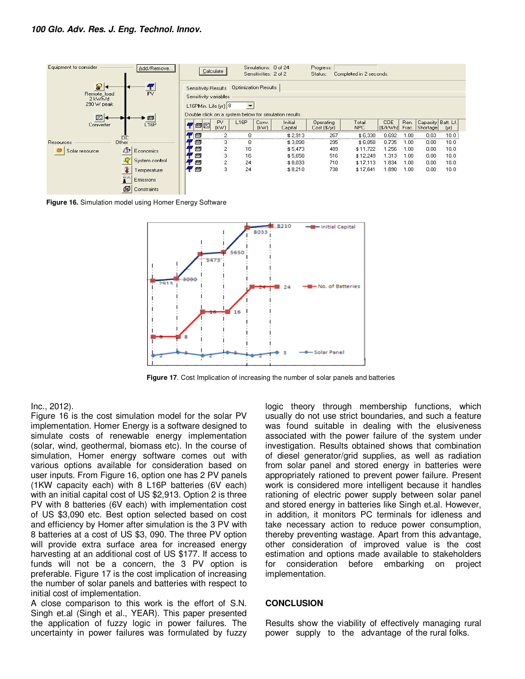

**Figure 16.** Simulation model using Homer Energy Software



**Figure 17**. Cost Implication of increasing the number of solar panels and batteries

#### Inc., 2012).

Figure 16 is the cost simulation model for the solar PV implementation. Homer Energy is a software designed to simulate costs of renewable energy implementation (solar, wind, geothermal, biomass etc). In the course of simulation, Homer energy software comes out with various options available for consideration based on user inputs. From Figure 16, option one has 2 PV panels (1KW capacity each) with 8 L16P batteries (6V each) with an initial capital cost of US \$2,913. Option 2 is three PV with 8 batteries (6V each) with implementation cost of US \$3,090 etc. Best option selected based on cost and efficiency by Homer after simulation is the 3 PV with 8 batteries at a cost of US \$3, 090. The three PV option will provide extra surface area for increased energy harvesting at an additional cost of US \$177. If access to funds will not be a concern, the 3 PV option is preferable. Figure 17 is the cost implication of increasing the number of solar panels and batteries with respect to initial cost of implementation.

A close comparison to this work is the effort of S.N. Singh et.al (Singh et al., YEAR). This paper presented the application of fuzzy logic in power failures. The uncertainty in power failures was formulated by fuzzy logic theory through membership functions, which usually do not use strict boundaries, and such a feature was found suitable in dealing with the elusiveness associated with the power failure of the system under investigation. Results obtained shows that combination of diesel generator/grid supplies, as well as radiation from solar panel and stored energy in batteries were appropriately rationed to prevent power failure. Present work is considered more intelligent because it handles rationing of electric power supply between solar panel and stored energy in batteries like Singh et.al. However, in addition, it monitors PC terminals for idleness and take necessary action to reduce power consumption, thereby preventing wastage. Apart from this advantage, other consideration of improved value is the cost estimation and options made available to stakeholders for consideration before embarking on project implementation.

### **CONCLUSION**

Results show the viability of effectively managing rural power supply to the advantage of the rural folks.